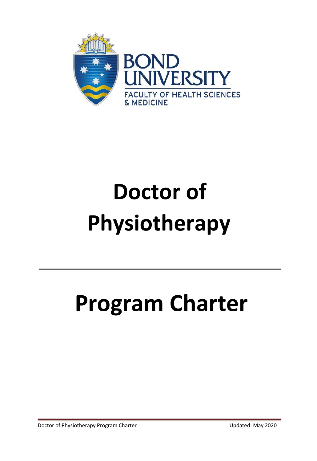

# **Doctor of Physiotherapy**

# **Program Charter**

Doctor of Physiotherapy Program Charter New York Charter Updated: May 2020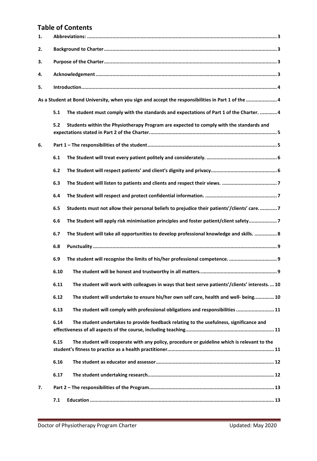# **Table of Contents**

| 1.                                                                                                 |                                                                                                         |  |  |  |  |  |  |
|----------------------------------------------------------------------------------------------------|---------------------------------------------------------------------------------------------------------|--|--|--|--|--|--|
| 2.                                                                                                 |                                                                                                         |  |  |  |  |  |  |
| З.                                                                                                 |                                                                                                         |  |  |  |  |  |  |
| 4.                                                                                                 |                                                                                                         |  |  |  |  |  |  |
| 5.                                                                                                 |                                                                                                         |  |  |  |  |  |  |
| As a Student at Bond University, when you sign and accept the responsibilities in Part 1 of the  4 |                                                                                                         |  |  |  |  |  |  |
|                                                                                                    | 5.1<br>The student must comply with the standards and expectations of Part 1 of the Charter.  4         |  |  |  |  |  |  |
|                                                                                                    | 5.2<br>Students within the Physiotherapy Program are expected to comply with the standards and          |  |  |  |  |  |  |
| 6.                                                                                                 |                                                                                                         |  |  |  |  |  |  |
|                                                                                                    | 6.1                                                                                                     |  |  |  |  |  |  |
|                                                                                                    | 6.2                                                                                                     |  |  |  |  |  |  |
|                                                                                                    | 6.3                                                                                                     |  |  |  |  |  |  |
|                                                                                                    | 6.4                                                                                                     |  |  |  |  |  |  |
|                                                                                                    | 6.5<br>Students must not allow their personal beliefs to prejudice their patients'/clients' care7       |  |  |  |  |  |  |
|                                                                                                    | The Student will apply risk minimisation principles and foster patient/client safety7<br>6.6            |  |  |  |  |  |  |
|                                                                                                    | 6.7<br>The Student will take all opportunities to develop professional knowledge and skills.  8         |  |  |  |  |  |  |
|                                                                                                    | 6.8                                                                                                     |  |  |  |  |  |  |
|                                                                                                    | 6.9                                                                                                     |  |  |  |  |  |  |
|                                                                                                    | 6.10                                                                                                    |  |  |  |  |  |  |
|                                                                                                    | 6.11<br>The student will work with colleagues in ways that best serve patients'/clients' interests.  10 |  |  |  |  |  |  |
|                                                                                                    | 6.12<br>The student will undertake to ensure his/her own self care, health and well- being 10           |  |  |  |  |  |  |
|                                                                                                    | The student will comply with professional obligations and responsibilities  11<br>6.13                  |  |  |  |  |  |  |
|                                                                                                    | 6.14<br>The student undertakes to provide feedback relating to the usefulness, significance and         |  |  |  |  |  |  |
|                                                                                                    | 6.15<br>The student will cooperate with any policy, procedure or guideline which is relevant to the     |  |  |  |  |  |  |
|                                                                                                    | 6.16                                                                                                    |  |  |  |  |  |  |
|                                                                                                    | 6.17                                                                                                    |  |  |  |  |  |  |
| 7.                                                                                                 |                                                                                                         |  |  |  |  |  |  |
|                                                                                                    | 7.1                                                                                                     |  |  |  |  |  |  |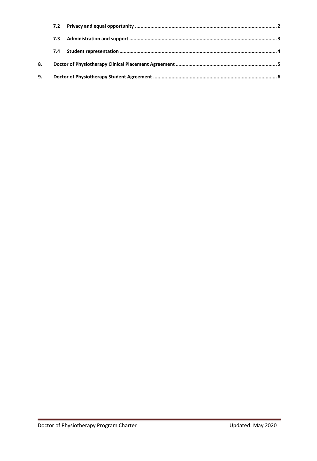|    | 7.3 |  |  |  |  |
|----|-----|--|--|--|--|
|    | 7.4 |  |  |  |  |
| 8. |     |  |  |  |  |
| 9. |     |  |  |  |  |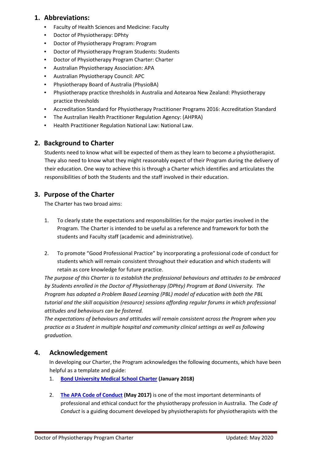## <span id="page-3-0"></span>**1. Abbreviations:**

- Faculty of Health Sciences and Medicine: Faculty
- Doctor of Physiotherapy: DPhty
- Doctor of Physiotherapy Program: Program
- Doctor of Physiotherapy Program Students: Students
- Doctor of Physiotherapy Program Charter: Charter
- Australian Physiotherapy Association: APA
- Australian Physiotherapy Council: APC
- Physiotherapy Board of Australia (PhysioBA)
- Physiotherapy practice thresholds in Australia and Aotearoa New Zealand: Physiotherapy practice thresholds
- Accreditation Standard for Physiotherapy Practitioner Programs 2016: Accreditation Standard
- The Australian Health Practitioner Regulation Agency: (AHPRA)
- Health Practitioner Regulation National Law: National Law.

# <span id="page-3-1"></span>**2. Background to Charter**

Students need to know what will be expected of them as they learn to become a physiotherapist. They also need to know what they might reasonably expect of their Program during the delivery of their education. One way to achieve this is through a Charter which identifies and articulates the responsibilities of both the Students and the staff involved in their education.

# <span id="page-3-2"></span>**3. Purpose of the Charter**

The Charter has two broad aims:

- 1. To clearly state the expectations and responsibilities for the major parties involved in the Program. The Charter is intended to be useful as a reference and framework for both the students and Faculty staff (academic and administrative).
- 2. To promote "Good Professional Practice" by incorporating a professional code of conduct for students which will remain consistent throughout their education and which students will retain as core knowledge for future practice.

*The purpose of this Charter is to establish the professional behaviours and attitudes to be embraced by Students enrolled in the Doctor of Physiotherapy (DPhty) Program at Bond University. The Program has adopted a Problem Based Learning (PBL) model of education with both the PBL tutorial and the skill acquisition (resource) sessions affording regular forums in which professional attitudes and behaviours can be fostered.*

*The expectations of behaviours and attitudes will remain consistent across the Program when you practice as a Student in multiple hospital and community clinical settings as well as following graduation.*

## <span id="page-3-3"></span>**4. Acknowledgement**

In developing our Charter, the Program acknowledges the following documents, which have been helpful as a template and guide:

- 1. **Bond University [Medical School Charter](https://bond.edu.au/files/1375/student-charter-medical-program.pdf) (January 2018)**
- 2. **[The APA Code of Conduct](https://australian.physio/sites/default/files/ABOUT-US/Governance/APA_Code_of_Conduct.pdf) (May 2017)** is one of the most important determinants of professional and ethical conduct for the physiotherapy profession in Australia. The *Code of Conduct* is a guiding document developed by physiotherapists for physiotherapists with the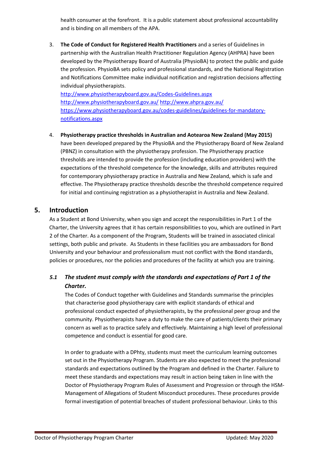health consumer at the forefront. It is a public statement about professional accountability and is binding on all members of the APA.

3. **The Code of Conduct for Registered Health Practitioners** and a series of Guidelines in partnership with the Australian Health Practitioner Regulation Agency (AHPRA) have been developed by the Physiotherapy Board of Australia (PhysioBA) to protect the public and guide the profession. PhysioBA sets policy and professional standards, and the National Registration and Notifications Committee make individual notification and registration decisions affecting individual physiotherapists.

<http://www.physiotherapyboard.gov.au/Codes-Guidelines.aspx> <http://www.physiotherapyboard.gov.au/> <http://www.ahpra.gov.au/> [https://www.physiotherapyboard.gov.au/codes-guidelines/guidelines-for-mandatory](https://www.physiotherapyboard.gov.au/codes-guidelines/guidelines-for-mandatory-notifications.aspx)[notifications.aspx](https://www.physiotherapyboard.gov.au/codes-guidelines/guidelines-for-mandatory-notifications.aspx)

4. **Physiotherapy practice thresholds in Australian and Aotearoa New Zealand (May 2015)** have been developed prepared by the PhysioBA and the Physiotherapy Board of New Zealand (PBNZ) in consultation with the physiotherapy profession. The Physiotherapy practice thresholds are intended to provide the profession (including education providers) with the expectations of the threshold competence for the knowledge, skills and attributes required for contemporary physiotherapy practice in Australia and New Zealand, which is safe and effective. The Physiotherapy practice thresholds describe the threshold competence required for initial and continuing registration as a physiotherapist in Australia and New Zealand.

## <span id="page-4-1"></span><span id="page-4-0"></span>**5. Introduction**

As a Student at Bond University, when you sign and accept the responsibilities in Part 1 of the Charter, the University agrees that it has certain responsibilities to you, which are outlined in Part 2 of the Charter. As a component of the Program, Students will be trained in associated clinical settings, both public and private. As Students in these facilities you are ambassadors for Bond University and your behaviour and professionalism must not conflict with the Bond standards, policies or procedures, nor the policies and procedures of the facility at which you are training.

# <span id="page-4-2"></span>*5.1 The student must comply with the standards and expectations of Part 1 of the Charter.*

The Codes of Conduct together with Guidelines and Standards summarise the principles that characterise good physiotherapy care with explicit standards of ethical and professional conduct expected of physiotherapists, by the professional peer group and the community. Physiotherapists have a duty to make the care of patients/clients their primary concern as well as to practice safely and effectively. Maintaining a high level of professional competence and conduct is essential for good care.

In order to graduate with a DPhty, students must meet the curriculum learning outcomes set out in the Physiotherapy Program. Students are also expected to meet the professional standards and expectations outlined by the Program and defined in the Charter. Failure to meet these standards and expectations may result in action being taken in line with the Doctor of Physiotherapy Program Rules of Assessment and Progression or through the HSM-Management of Allegations of Student Misconduct procedures. These procedures provide formal investigation of potential breaches of student professional behaviour. Links to this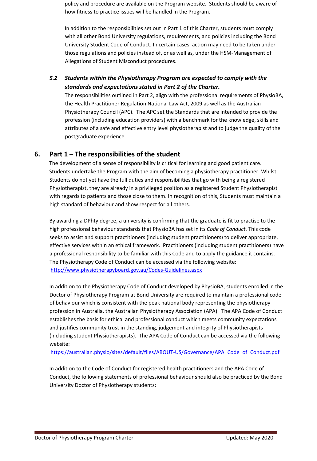policy and procedure are available on the Program website. Students should be aware of how fitness to practice issues will be handled in the Program.

In addition to the responsibilities set out in Part 1 of this Charter, students must comply with all other Bond University regulations, requirements, and policies including the Bond University Student Code of Conduct. In certain cases, action may need to be taken under those regulations and policies instead of, or as well as, under the HSM-Management of Allegations of Student Misconduct procedures.

<span id="page-5-0"></span>*5.2 Students within the Physiotherapy Program are expected to comply with the standards and expectations stated in Part 2 of the Charter.* 

The responsibilities outlined in Part 2, align with the professional requirements of PhysioBA, the Health Practitioner Regulation National Law Act, 2009 as well as the Australian Physiotherapy Council (APC). The APC set the Standards that are intended to provide the profession (including education providers) with a benchmark for the knowledge, skills and attributes of a safe and effective entry level physiotherapist and to judge the quality of the postgraduate experience.

## <span id="page-5-1"></span>**6. Part 1 – The responsibilities of the student**

The development of a sense of responsibility is critical for learning and good patient care. Students undertake the Program with the aim of becoming a physiotherapy practitioner. Whilst Students do not yet have the full duties and responsibilities that go with being a registered Physiotherapist, they are already in a privileged position as a registered Student Physiotherapist with regards to patients and those close to them. In recognition of this, Students must maintain a high standard of behaviour and show respect for all others.

By awarding a DPhty degree, a university is confirming that the graduate is fit to practise to the high professional behaviour standards that PhysioBA has set in its *Code of Conduct*. This code seeks to assist and support practitioners (including student practitioners) to deliver appropriate, effective services within an ethical framework. Practitioners (including student practitioners) have a professional responsibility to be familiar with this Code and to apply the guidance it contains. The Physiotherapy Code of Conduct can be accessed via the following website: <http://www.physiotherapyboard.gov.au/Codes-Guidelines.aspx>

In addition to the Physiotherapy Code of Conduct developed by PhysioBA, students enrolled in the Doctor of Physiotherapy Program at Bond University are required to maintain a professional code of behaviour which is consistent with the peak national body representing the physiotherapy profession in Australia, the Australian Physiotherapy Association (APA). The APA Code of Conduct establishes the basis for ethical and professional conduct which meets community expectations and justifies community trust in the standing, judgement and integrity of Physiotherapists (including student Physiotherapists). The APA Code of Conduct can be accessed via the following website:

[https://australian.physio/sites/default/files/ABOUT-US/Governance/APA\\_Code\\_of\\_Conduct.pdf](https://australian.physio/sites/default/files/ABOUT-US/Governance/APA_Code_of_Conduct.pdf)

In addition to the Code of Conduct for registered health practitioners and the APA Code of Conduct, the following statements of professional behaviour should also be practiced by the Bond University Doctor of Physiotherapy students: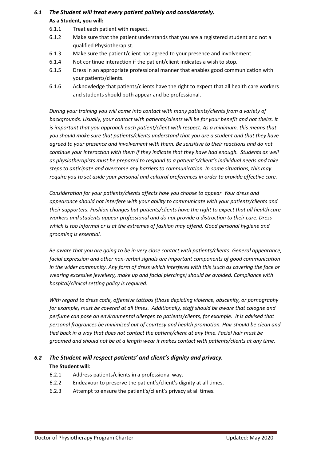# <span id="page-6-0"></span>*6.1 The Student will treat every patient politely and considerately.*  **As a Student, you will:**

- 6.1.1 Treat each patient with respect.
- 6.1.2 Make sure that the patient understands that you are a registered student and not a qualified Physiotherapist.
- 6.1.3 Make sure the patient/client has agreed to your presence and involvement.
- 6.1.4 Not continue interaction if the patient/client indicates a wish to stop.
- 6.1.5 Dress in an appropriate professional manner that enables good communication with your patients/clients.
- 6.1.6 Acknowledge that patients/clients have the right to expect that all health care workers and students should both appear and be professional.

*During your training you will come into contact with many patients/clients from a variety of backgrounds. Usually, your contact with patients/clients will be for your benefit and not theirs. It is important that you approach each patient/client with respect. As a minimum, this means that you should make sure that patients/clients understand that you are a student and that they have agreed to your presence and involvement with them. Be sensitive to their reactions and do not continue your interaction with them if they indicate that they have had enough. Students as well as physiotherapists must be prepared to respond to a patient's/client's individual needs and take steps to anticipate and overcome any barriers to communication. In some situations, this may require you to set aside your personal and cultural preferences in order to provide effective care.* 

*Consideration for your patients/clients affects how you choose to appear. Your dress and appearance should not interfere with your ability to communicate with your patients/clients and their supporters. Fashion changes but patients/clients have the right to expect that all health care workers and students appear professional and do not provide a distraction to their care. Dress which is too informal or is at the extremes of fashion may offend. Good personal hygiene and grooming is essential.* 

*Be aware that you are going to be in very close contact with patients/clients. General appearance, facial expression and other non-verbal signals are important components of good communication in the wider community. Any form of dress which interferes with this (such as covering the face or wearing excessive jewellery, make up and facial piercings) should be avoided. Compliance with hospital/clinical setting policy is required.* 

*With regard to dress code, offensive tattoos (those depicting violence, obscenity, or pornography for example) must be covered at all times. Additionally, staff should be aware that cologne and perfume can pose an environmental allergen to patients/clients, for example. It is advised that personal fragrances be minimised out of courtesy and health promotion. Hair should be clean and tied back in a way that does not contact the patient/client at any time. Facial hair must be groomed and should not be at a length wear it makes contact with patients/clients at any time.*

# <span id="page-6-1"></span>*6.2 The Student will respect patients' and client's dignity and privacy.*  **The Student will:**

- 6.2.1 Address patients/clients in a professional way.
- 6.2.2 Endeavour to preserve the patient's/client's dignity at all times.
- 6.2.3 Attempt to ensure the patient's/client's privacy at all times.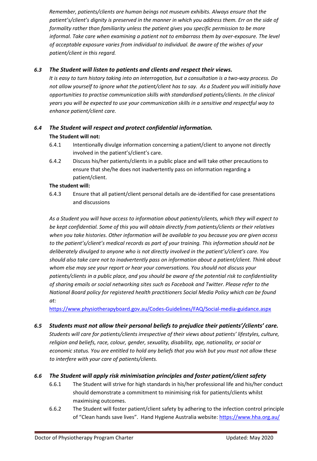*Remember, patients/clients are human beings not museum exhibits. Always ensure that the patient's/client's dignity is preserved in the manner in which you address them. Err on the side of formality rather than familiarity unless the patient gives you specific permission to be more informal. Take care when examining a patient not to embarrass them by over-exposure. The level of acceptable exposure varies from individual to individual. Be aware of the wishes of your patient/client in this regard.* 

### <span id="page-7-0"></span>*6.3 The Student will listen to patients and clients and respect their views.*

*It is easy to turn history taking into an interrogation, but a consultation is a two-way process. Do not allow yourself to ignore what the patient/client has to say. As a Student you will initially have opportunities to practise communication skills with standardised patients/clients. In the clinical years you will be expected to use your communication skills in a sensitive and respectful way to enhance patient/client care.* 

# <span id="page-7-1"></span>*6.4 The Student will respect and protect confidential information.*  **The Student will not:**

- 6.4.1 Intentionally divulge information concerning a patient/client to anyone not directly involved in the patient's/client's care.
- 6.4.2 Discuss his/her patients/clients in a public place and will take other precautions to ensure that she/he does not inadvertently pass on information regarding a patient/client.

#### **The student will:**

6.4.3 Ensure that all patient/client personal details are de-identified for case presentations and discussions

*As a Student you will have access to information about patients/clients, which they will expect to be kept confidential. Some of this you will obtain directly from patients/clients or their relatives when you take histories. Other information will be available to you because you are given access to the patient's/client's medical records as part of your training. This information should not be deliberately divulged to anyone who is not directly involved in the patient's/client's care. You should also take care not to inadvertently pass on information about a patient/client. Think about whom else may see your report or hear your conversations. You should not discuss your patients/clients in a public place, and you should be aware of the potential risk to confidentiality of sharing emails or social networking sites such as Facebook and Twitter. Please refer to the National Board policy for registered health practitioners Social Media Policy which can be found at:*

<https://www.physiotherapyboard.gov.au/Codes-Guidelines/FAQ/Social-media-guidance.aspx>

<span id="page-7-2"></span>*6.5 Students must not allow their personal beliefs to prejudice their patients'/clients' care.* 

*Students will care for patients/clients irrespective of their views about patients' lifestyles, culture, religion and beliefs, race, colour, gender, sexuality, disability, age, nationality, or social or economic status. You are entitled to hold any beliefs that you wish but you must not allow these to interfere with your care of patients/clients.* 

## <span id="page-7-3"></span>*6.6 The Student will apply risk minimisation principles and foster patient/client safety*

- 6.6.1 The Student will strive for high standards in his/her professional life and his/her conduct should demonstrate a commitment to minimising risk for patients/clients whilst maximising outcomes.
- 6.6.2 The Student will foster patient/client safety by adhering to the infection control principle of "Clean hands save lives". Hand Hygiene Australia website:<https://www.hha.org.au/>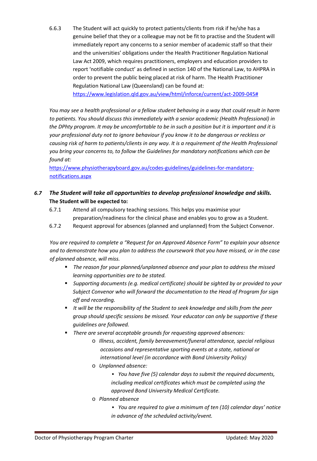6.6.3 The Student will act quickly to protect patients/clients from risk if he/she has a genuine belief that they or a colleague may not be fit to practise and the Student will immediately report any concerns to a senior member of academic staff so that their and the universities' obligations under the Health Practitioner Regulation National Law Act 2009, which requires practitioners, employers and education providers to report 'notifiable conduct' as defined in section 140 of the National Law, to AHPRA in order to prevent the public being placed at risk of harm. The Health Practitioner Regulation National Law (Queensland) can be found at:

[https://www.legislation.qld.gov.au/view/html/inforce/current/act-2009-045#](https://www.legislation.qld.gov.au/view/html/inforce/current/act-2009-045)

*You may see a health professional or a fellow student behaving in a way that could result in harm to patients. You should discuss this immediately with a senior academic (Health Professional) in the DPhty program. It may be uncomfortable to be in such a position but it is important and it is your professional duty not to ignore behaviour if you know it to be dangerous or reckless or causing risk of harm to patients/clients in any way. It is a requirement of the Health Professional you bring your concerns to, to follow the Guidelines for mandatory notifications which can be found at:*

[https://www.physiotherapyboard.gov.au/codes-guidelines/guidelines-for-mandatory](https://www.physiotherapyboard.gov.au/codes-guidelines/guidelines-for-mandatory-notifications.aspx)[notifications.aspx](https://www.physiotherapyboard.gov.au/codes-guidelines/guidelines-for-mandatory-notifications.aspx)

## <span id="page-8-0"></span>*6.7 The Student will take all opportunities to develop professional knowledge and skills.*  **The Student will be expected to:**

- 6.7.1 Attend all compulsory teaching sessions. This helps you maximise your preparation/readiness for the clinical phase and enables you to grow as a Student.
- 6.7.2 Request approval for absences (planned and unplanned) from the Subject Convenor.

*You are required to complete a "Request for an Approved Absence Form" to explain your absence and to demonstrate how you plan to address the coursework that you have missed, or in the case of planned absence, will miss.* 

- *The reason for your planned/unplanned absence and your plan to address the missed learning opportunities are to be stated.*
- *Supporting documents (e.g. medical certificate) should be sighted by or provided to your Subject Convenor who will forward the documentation to the Head of Program for sign off and recording.*
- *It will be the responsibility of the Student to seek knowledge and skills from the peer group should specific sessions be missed. Your educator can only be supportive if these guidelines are followed.*
- *There are several acceptable grounds for requesting approved absences:* 
	- o *Illness, accident, family bereavement/funeral attendance, special religious occasions and representative sporting events at a state, national or international level (in accordance with Bond University Policy)*
	- o *Unplanned absence:*

▪ *You have five (5) calendar days to submit the required documents, including medical certificates which must be completed using the approved Bond University Medical Certificate.* 

- o *Planned absence* 
	- *You are required to give a minimum of ten (10) calendar days' notice in advance of the scheduled activity/event.*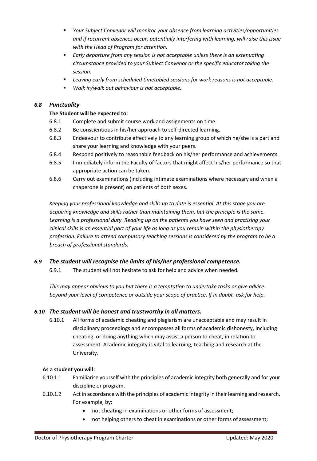- *Your Subject Convenor will monitor your absence from learning activities/opportunities and if recurrent absences occur, potentially interfering with learning, will raise this issue with the Head of Program for attention.*
- *Early departure from any session is not acceptable unless there is an extenuating circumstance provided to your Subject Convenor or the specific educator taking the session.*
- *Leaving early from scheduled timetabled sessions for work reasons is not acceptable.*
- *Walk in/walk out behaviour is not acceptable.*

### <span id="page-9-0"></span>*6.8 Punctuality*

### **The Student will be expected to:**

- 6.8.1 Complete and submit course work and assignments on time.
- 6.8.2 Be conscientious in his/her approach to self-directed learning.
- 6.8.3 Endeavour to contribute effectively to any learning group of which he/she is a part and share your learning and knowledge with your peers.
- 6.8.4 Respond positively to reasonable feedback on his/her performance and achievements.
- 6.8.5 Immediately inform the Faculty of factors that might affect his/her performance so that appropriate action can be taken.
- 6.8.6 Carry out examinations (including intimate examinations where necessary and when a chaperone is present) on patients of both sexes.

*Keeping your professional knowledge and skills up to date is essential. At this stage you are acquiring knowledge and skills rather than maintaining them, but the principle is the same. Learning is a professional duty. Reading up on the patients you have seen and practising your clinical skills is an essential part of your life as long as you remain within the physiotherapy profession. Failure to attend compulsory teaching sessions is considered by the program to be a breach of professional standards.* 

## <span id="page-9-1"></span>*6.9 The student will recognise the limits of his/her professional competence.*

6.9.1 The student will not hesitate to ask for help and advice when needed.

*This may appear obvious to you but there is a temptation to undertake tasks or give advice beyond your level of competence or outside your scope of practice. If in doubt- ask for help.* 

## <span id="page-9-2"></span>*6.10 The student will be honest and trustworthy in all matters.*

6.10.1 All forms of academic cheating and plagiarism are unacceptable and may result in disciplinary proceedings and encompasses all forms of academic dishonesty, including cheating, or doing anything which may assist a person to cheat, in relation to assessment. Academic integrity is vital to learning, teaching and research at the University.

#### **As a student you will:**

- 6.10.1.1 Familiarise yourself with the principles of academic integrity both generally and for your discipline or program.
- 6.10.1.2 Act in accordance with the principles of academic integrity in their learning and research. For example, by:
	- not cheating in examinations or other forms of assessment;
	- not helping others to cheat in examinations or other forms of assessment;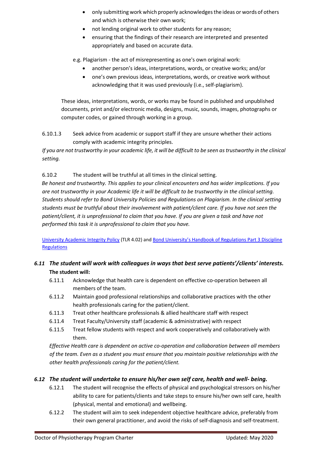- only submitting work which properly acknowledgesthe ideas or words of others and which is otherwise their own work;
- not lending original work to other students for any reason;
- ensuring that the findings of their research are interpreted and presented appropriately and based on accurate data.

e.g. Plagiarism - the act of misrepresenting as one's own original work:

- another person's ideas, interpretations, words, or creative works; and/or
- one's own previous ideas, interpretations, words, or creative work without acknowledging that it was used previously (i.e., self-plagiarism).

These ideas, interpretations, words, or works may be found in published and unpublished documents, print and/or electronic media, designs, music, sounds, images, photographs or computer codes, or gained through working in a group.

6.10.1.3 Seek advice from academic or support staff if they are unsure whether their actions comply with academic integrity principles.

*If you are not trustworthy in your academic life, it will be difficult to be seen as trustworthy in the clinical setting.*

6.10.2 The student will be truthful at all times in the clinical setting.

*Be honest and trustworthy. This applies to your clinical encounters and has wider implications. If you are not trustworthy in your Academic life it will be difficult to be trustworthy in the clinical setting. Students should refer to Bond University Policies and Regulations on Plagiarism. In the clinical setting students must be truthful about their involvement with patient/client care. If you have not seen the patient/client, it is unprofessional to claim that you have. If you are given a task and have not performed this task it is unprofessional to claim that you have.*

[University Academic Integrity Policy](https://bond.edu.au/files/2921/TLR402.pdf) (TLR 4.02) an[d Bond University's Handbook of Regulations Part 3 Discipline](https://bond.edu.au/files/676/Student%20Handbook.%20Part%203%3A%20Discipline%20Regulations.pdf)  **[Regulations](https://bond.edu.au/files/676/Student%20Handbook.%20Part%203%3A%20Discipline%20Regulations.pdf)** 

## <span id="page-10-0"></span>*6.11 The student will work with colleagues in ways that best serve patients'/clients' interests.* **The student will:**

- 6.11.1 Acknowledge that health care is dependent on effective co-operation between all members of the team.
- 6.11.2 Maintain good professional relationships and collaborative practices with the other health professionals caring for the patient/client.
- 6.11.3 Treat other healthcare professionals & allied healthcare staff with respect
- 6.11.4 Treat Faculty/University staff (academic & administrative) with respect
- 6.11.5 Treat fellow students with respect and work cooperatively and collaboratively with them.

*Effective Health care is dependent on active co-operation and collaboration between all members of the team. Even as a student you must ensure that you maintain positive relationships with the other health professionals caring for the patient/client.* 

## <span id="page-10-1"></span>*6.12 The student will undertake to ensure his/her own self care, health and well- being.*

- 6.12.1 The student will recognise the effects of physical and psychological stressors on his/her ability to care for patients/clients and take steps to ensure his/her own self care, health (physical, mental and emotional) and wellbeing.
- 6.12.2 The student will aim to seek independent objective healthcare advice, preferably from their own general practitioner, and avoid the risks of self-diagnosis and self-treatment.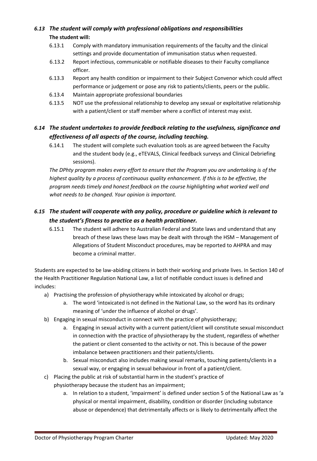# <span id="page-11-0"></span>*6.13 The student will comply with professional obligations and responsibilities*  **The student will:**

- 6.13.1 Comply with mandatory immunisation requirements of the faculty and the clinical settings and provide documentation of immunisation status when requested.
- 6.13.2 Report infectious, communicable or notifiable diseases to their Faculty compliance officer.
- 6.13.3 Report any health condition or impairment to their Subject Convenor which could affect performance or judgement or pose any risk to patients/clients, peers or the public.
- 6.13.4 Maintain appropriate professional boundaries
- 6.13.5 NOT use the professional relationship to develop any sexual or exploitative relationship with a patient/client or staff member where a conflict of interest may exist.

# <span id="page-11-1"></span>*6.14 The student undertakes to provide feedback relating to the usefulness, significance and effectiveness of all aspects of the course, including teaching.*

6.14.1 The student will complete such evaluation tools as are agreed between the Faculty and the student body (e.g., eTEVALS, Clinical feedback surveys and Clinical Debriefing sessions).

*The DPhty program makes every effort to ensure that the Program you are undertaking is of the highest quality by a process of continuous quality enhancement. If this is to be effective, the program needs timely and honest feedback on the course highlighting what worked well and what needs to be changed. Your opinion is important.* 

# <span id="page-11-2"></span>*6.15 The student will cooperate with any policy, procedure or guideline which is relevant to the student's fitness to practice as a health practitioner.*

6.15.1 The student will adhere to Australian Federal and State laws and understand that any breach of these laws these laws may be dealt with through the HSM – Management of Allegations of Student Misconduct procedures, may be reported to AHPRA and may become a criminal matter.

Students are expected to be law-abiding citizens in both their working and private lives. In Section 140 of the Health Practitioner Regulation National Law, a list of notifiable conduct issues is defined and includes:

- a) Practising the profession of physiotherapy while intoxicated by alcohol or drugs;
	- a. The word 'intoxicated is not defined in the National Law, so the word has its ordinary meaning of 'under the influence of alcohol or drugs'.
- b) Engaging in sexual misconduct in connect with the practice of physiotherapy;
	- a. Engaging in sexual activity with a current patient/client will constitute sexual misconduct in connection with the practice of physiotherapy by the student, regardless of whether the patient or client consented to the activity or not. This is because of the power imbalance between practitioners and their patients/clients.
	- b. Sexual misconduct also includes making sexual remarks, touching patients/clients in a sexual way, or engaging in sexual behaviour in front of a patient/client.
- c) Placing the public at risk of substantial harm in the student's practice of physiotherapy because the student has an impairment;
	- a. In relation to a student, 'impairment' is defined under section 5 of the National Law as 'a physical or mental impairment, disability, condition or disorder (including substance abuse or dependence) that detrimentally affects or is likely to detrimentally affect the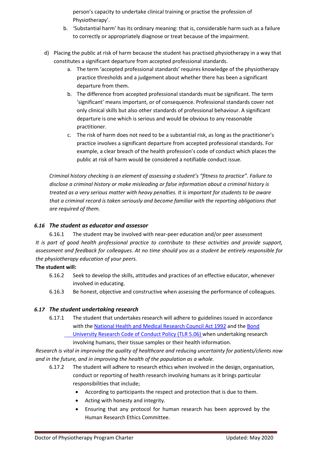person's capacity to undertake clinical training or practise the profession of Physiotherapy'.

- b. 'Substantial harm' has its ordinary meaning: that is, considerable harm such as a failure to correctly or appropriately diagnose or treat because of the impairment.
- d) Placing the public at risk of harm because the student has practised physiotherapy in a way that constitutes a significant departure from accepted professional standards.
	- a. The term 'accepted professional standards' requires knowledge of the physiotherapy practice thresholds and a judgement about whether there has been a significant departure from them.
	- b. The difference from accepted professional standards must be significant. The term 'significant' means important, or of consequence. Professional standards cover not only clinical skills but also other standards of professional behaviour. A significant departure is one which is serious and would be obvious to any reasonable practitioner.
	- c. The risk of harm does not need to be a substantial risk, as long as the practitioner's practice involves a significant departure from accepted professional standards. For example, a clear breach of the health profession's code of conduct which places the public at risk of harm would be considered a notifiable conduct issue.

*Criminal history checking is an element of assessing a student's "fitness to practice". Failure to disclose a criminal history or make misleading or false information about a criminal history is treated as a very serious matter with heavy penalties. It is important for students to be aware that a criminal record is taken seriously and become familiar with the reporting obligations that are required of them.*

### <span id="page-12-0"></span>*6.16 The student as educator and assessor*

6.16.1 The student may be involved with near-peer education and/or peer assessment *It is part of good health professional practice to contribute to these activities and provide support, assessment and feedback for colleagues. At no time should you as a student be entirely responsible for the physiotherapy education of your peers.*

#### **The student will:**

- 6.16.2 Seek to develop the skills, attitudes and practices of an effective educator, whenever involved in educating.
- 6.16.3 Be honest, objective and constructive when assessing the performance of colleagues.

## <span id="page-12-1"></span>*6.17 The student undertaking research*

6.17.1 The student that undertakes research will adhere to guidelines issued in accordance with the National Health and [Medical Research Council Act 1992](https://www.nhmrc.gov.au/about-us/publications/national-statement-ethical-conduct-human-research-2007-updated-2018) and the [Bond](https://bond.edu.au/files/955/TLR506.pdf)  University Research [Code of Conduct Policy \(TLR 5.06\)](https://bond.edu.au/files/955/TLR506.pdf) when undertaking research involving humans, their tissue samples or their health information.

*Research is vital in improving the quality of healthcare and reducing uncertainty for patients/clients now and in the future, and in improving the health of the population as a whole.*

- 6.17.2 The student will adhere to research ethics when involved in the design, organisation, conduct or reporting of health research involving humans as it brings particular responsibilities that include;
	- According to participants the respect and protection that is due to them.
	- Acting with honesty and integrity.
	- Ensuring that any protocol for human research has been approved by the Human Research Ethics Committee.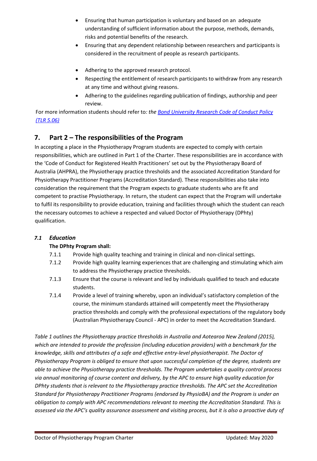- Ensuring that human participation is voluntary and based on an adequate understanding of sufficient information about the purpose, methods, demands, risks and potential benefits of the research.
- Ensuring that any dependent relationship between researchers and participants is considered in the recruitment of people as research participants.
- Adhering to the approved research protocol.
- Respecting the entitlement of research participants to withdraw from any research at any time and without giving reasons.
- Adhering to the guidelines regarding publication of findings, authorship and peer review.

For more information students should refer to*: th[e Bond University Research Code of Conduct Policy](https://bond.edu.au/files/955/TLR506.pdf) [\(TLR 5.06\)](https://bond.edu.au/files/955/TLR506.pdf)*

# <span id="page-13-0"></span>**7. Part 2 – The responsibilities of the Program**

In accepting a place in the Physiotherapy Program students are expected to comply with certain responsibilities, which are outlined in Part 1 of the Charter. These responsibilities are in accordance with the 'Code of Conduct for Registered Health Practitioners' set out by the Physiotherapy Board of Australia (AHPRA), the Physiotherapy practice thresholds and the associated Accreditation Standard for Physiotherapy Practitioner Programs (Accreditation Standard). These responsibilities also take into consideration the requirement that the Program expects to graduate students who are fit and competent to practise Physiotherapy. In return, the student can expect that the Program will undertake to fulfil its responsibility to provide education, training and facilities through which the student can reach the necessary outcomes to achieve a respected and valued Doctor of Physiotherapy (DPhty) qualification.

## <span id="page-13-1"></span>*7.1 Education*

#### **The DPhty Program shall:**

- 7.1.1 Provide high quality teaching and training in clinical and non-clinical settings.
- 7.1.2 Provide high quality learning experiences that are challenging and stimulating which aim to address the Physiotherapy practice thresholds.
- 7.1.3 Ensure that the course is relevant and led by individuals qualified to teach and educate students.
- 7.1.4 Provide a level of training whereby, upon an individual's satisfactory completion of the course, the minimum standards attained will competently meet the Physiotherapy practice thresholds and comply with the professional expectations of the regulatory body (Australian Physiotherapy Council - APC) in order to meet the Accreditation Standard.

*Table 1 outlines the Physiotherapy practice thresholds in Australia and Aotearoa New Zealand (2015), which are intended to provide the profession (including education providers) with a benchmark for the knowledge, skills and attributes of a safe and effective entry-level physiotherapist. The Doctor of Physiotherapy Program is obliged to ensure that upon successful completion of the degree, students are able to achieve the Physiotherapy practice thresholds. The Program undertakes a quality control process via annual monitoring of course content and delivery, by the APC to ensure high quality education for DPhty students that is relevant to the Physiotherapy practice thresholds. The APC set the Accreditation Standard for Physiotherapy Practitioner Programs (endorsed by PhysioBA) and the Program is under an obligation to comply with APC recommendations relevant to meeting the Accreditation Standard. This is assessed via the APC's quality assurance assessment and visiting process, but it is also a proactive duty of*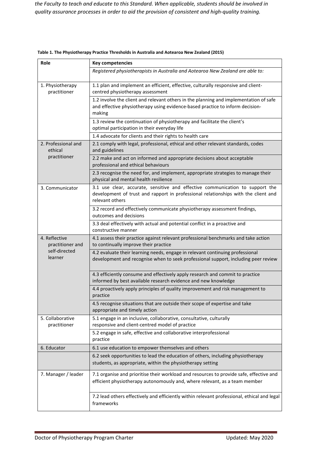*the Faculty to teach and educate to this Standard. When applicable, students should be involved in quality assurance processes in order to aid the provision of consistent and high-quality training.*

| Role                              | <b>Key competencies</b>                                                                                                                                                                |  |  |  |  |  |
|-----------------------------------|----------------------------------------------------------------------------------------------------------------------------------------------------------------------------------------|--|--|--|--|--|
|                                   | Registered physiotherapists in Australia and Aotearoa New Zealand are able to:                                                                                                         |  |  |  |  |  |
| 1. Physiotherapy<br>practitioner  | 1.1 plan and implement an efficient, effective, culturally responsive and client-<br>centred physiotherapy assessment                                                                  |  |  |  |  |  |
|                                   | 1.2 involve the client and relevant others in the planning and implementation of safe<br>and effective physiotherapy using evidence-based practice to inform decision-<br>making       |  |  |  |  |  |
|                                   | 1.3 review the continuation of physiotherapy and facilitate the client's<br>optimal participation in their everyday life                                                               |  |  |  |  |  |
|                                   | 1.4 advocate for clients and their rights to health care                                                                                                                               |  |  |  |  |  |
| 2. Professional and<br>ethical    | 2.1 comply with legal, professional, ethical and other relevant standards, codes<br>and guidelines                                                                                     |  |  |  |  |  |
| practitioner                      | 2.2 make and act on informed and appropriate decisions about acceptable<br>professional and ethical behaviours                                                                         |  |  |  |  |  |
|                                   | 2.3 recognise the need for, and implement, appropriate strategies to manage their<br>physical and mental health resilience                                                             |  |  |  |  |  |
| 3. Communicator                   | 3.1 use clear, accurate, sensitive and effective communication to support the<br>development of trust and rapport in professional relationships with the client and<br>relevant others |  |  |  |  |  |
|                                   | 3.2 record and effectively communicate physiotherapy assessment findings,<br>outcomes and decisions                                                                                    |  |  |  |  |  |
|                                   | 3.3 deal effectively with actual and potential conflict in a proactive and<br>constructive manner                                                                                      |  |  |  |  |  |
| 4. Reflective<br>practitioner and | 4.1 assess their practice against relevant professional benchmarks and take action<br>to continually improve their practice                                                            |  |  |  |  |  |
| self-directed<br>learner          | 4.2 evaluate their learning needs, engage in relevant continuing professional<br>development and recognise when to seek professional support, including peer review                    |  |  |  |  |  |
|                                   | 4.3 efficiently consume and effectively apply research and commit to practice<br>informed by best available research evidence and new knowledge                                        |  |  |  |  |  |
|                                   | 4.4 proactively apply principles of quality improvement and risk management to<br>practice                                                                                             |  |  |  |  |  |
|                                   | 4.5 recognise situations that are outside their scope of expertise and take<br>appropriate and timely action                                                                           |  |  |  |  |  |
| 5. Collaborative<br>practitioner  | 5.1 engage in an inclusive, collaborative, consultative, culturally<br>responsive and client-centred model of practice                                                                 |  |  |  |  |  |
|                                   | 5.2 engage in safe, effective and collaborative interprofessional<br>practice                                                                                                          |  |  |  |  |  |
| 6. Educator                       | 6.1 use education to empower themselves and others                                                                                                                                     |  |  |  |  |  |
|                                   | 6.2 seek opportunities to lead the education of others, including physiotherapy<br>students, as appropriate, within the physiotherapy setting                                          |  |  |  |  |  |
| 7. Manager / leader               | 7.1 organise and prioritise their workload and resources to provide safe, effective and<br>efficient physiotherapy autonomously and, where relevant, as a team member                  |  |  |  |  |  |
|                                   | 7.2 lead others effectively and efficiently within relevant professional, ethical and legal<br>frameworks                                                                              |  |  |  |  |  |

**Table 1. The Physiotherapy Practice Thresholds in Australia and Aotearoa New Zealand (2015)**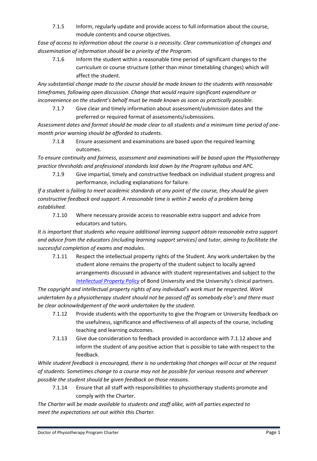7.1.5 Inform, regularly update and provide access to full information about the course, module contents and course objectives.

*Ease of access to information about the course is a necessity. Clear communication of changes and dissemination of information should be a priority of the Program.*

7.1.6 Inform the student within a reasonable time period of significant changes to the curriculum or course structure (other than minor timetabling changes) which will affect the student.

*Any substantial change made to the course should be made known to the students with reasonable timeframes, following open discussion. Change that would require significant expenditure or inconvenience on the student's behalf must be made known as soon as practically possible*.

7.1.7 Give clear and timely information about assessment/submission dates and the preferred or required format of assessments/submissions.

*Assessment dates and format should be made clear to all students and a minimum time period of onemonth prior warning should be afforded to students.*

7.1.8 Ensure assessment and examinations are based upon the required learning outcomes.

*To ensure continuity and fairness, assessment and examinations will be based upon the Physiotherapy practice thresholds and professional standards laid down by the Program syllabus and APC.*

7.1.9 Give impartial, timely and constructive feedback on individual student progress and performance, including explanations for failure.

*If a student is failing to meet academic standards at any point of the course, they should be given constructive feedback and support. A reasonable time is within 2 weeks of a problem being established.*

7.1.10 Where necessary provide access to reasonable extra support and advice from educators and tutors.

*It is important that students who require additional learning support obtain reasonable extra support and advice from the educators (including learning support services) and tutor, aiming to facilitate the successful completion of exams and modules.*

7.1.11 Respect the intellectual property rights of the Student. Any work undertaken by the student alone remains the property of the student subject to locally agreed arrangements discussed in advance with student representatives and subject to the *[Intellectual Property Policy](https://bond.edu.au/files/958/TLR602.pdf)* of Bond University and the University's clinical partners.

*The copyright and intellectual property rights of any individual's work must be respected. Work undertaken by a physiotherapy student should not be passed off as somebody else's and there must be clear acknowledgement of the work undertaken by the student.* 

- 7.1.12 Provide students with the opportunity to give the Program or University feedback on the usefulness, significance and effectiveness of all aspects of the course, including teaching and learning outcomes.
- 7.1.13 Give due consideration to feedback provided in accordance with 7.1.12 above and inform the student of any positive action that is possible to take with respect to the feedback.

*While student feedback is encouraged, there is no undertaking that changes will occur at the request of students. Sometimes change to a course may not be possible for various reasons and wherever possible the student should be given feedback on those reasons.*

7.1.14 Ensure that all staff with responsibilities to physiotherapy students promote and comply with the Charter.

*The Charter will be made available to students and staff alike, with all parties expected to meet the expectations set out within this Charter.*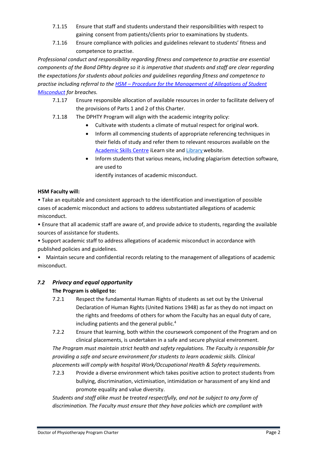- 7.1.15 Ensure that staff and students understand their responsibilities with respect to gaining consent from patients/clients prior to examinations by students.
- 7.1.16 Ensure compliance with policies and guidelines relevant to students' fitness and competence to practise.

*Professional conduct and responsibility regarding fitness and competence to practise are essential components of the Bond DPhty degree so it is imperative that students and staff are clear regarding the expectations for students about policies and guidelines regarding fitness and competence to practise including referral to the HSM – [Procedure for the Management of Allegations of Student](https://bond.edu.au/files/2034/hsm-student-misconduct.pdf)  [Misconduct](https://bond.edu.au/files/2034/hsm-student-misconduct.pdf) for breaches.*

- 7.1.17 Ensure responsible allocation of available resources in order to facilitate delivery of the provisions of Parts 1 and 2 of this Charter.
- 7.1.18 The DPHTY Program will align with the academic integrity policy:
	- Cultivate with students a climate of mutual respect for original work.
	- Inform all commencing students of appropriate referencing techniques in their fields of study and refer them to relevant resources available on the [Academic Skills Centre](https://ilearn.bond.edu.au/ultra/organizations/_43_1/outline) iLearn site an[d Library](https://library.bond.edu.au/help-support/information-skills-tools/referencing) website.
	- Inform students that various means, including plagiarism detection software, are used to
		- identify instances of academic misconduct.

### **HSM Faculty will:**

• Take an equitable and consistent approach to the identification and investigation of possible cases of academic misconduct and actions to address substantiated allegations of academic misconduct.

• Ensure that all academic staff are aware of, and provide advice to students, regarding the available sources of assistance for students.

• Support academic staff to address allegations of academic misconduct in accordance with published policies and guidelines.

• Maintain secure and confidential records relating to the management of allegations of academic misconduct.

## <span id="page-16-0"></span>*7.2 Privacy and equal opportunity*

## **The Program is obliged to:**

- 7.2.1 Respect the fundamental Human Rights of students as set out by the Universal Declaration of Human Rights (United Nations 1948) as far as they do not impact on the rights and freedoms of others for whom the Faculty has an equal duty of care, including patients and the general public.<sup>4</sup>
- 7.2.2 Ensure that learning, both within the coursework component of the Program and on clinical placements, is undertaken in a safe and secure physical environment.

*The Program must maintain strict health and safety regulations. The Faculty is responsible for providing a safe and secure environment for students to learn academic skills. Clinical placements will comply with hospital Work/Occupational Health & Safety requirements.*

7.2.3 Provide a diverse environment which takes positive action to protect students from bullying, discrimination, victimisation, intimidation or harassment of any kind and promote equality and value diversity.

*Students and staff alike must be treated respectfully, and not be subject to any form of discrimination. The Faculty must ensure that they have policies which are compliant with*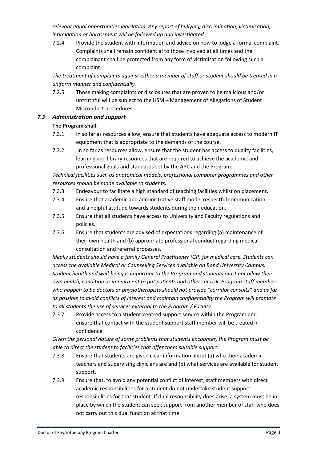*relevant equal opportunities legislation. Any report of bullying, discrimination, victimisation, intimidation or harassment will be followed up and investigated.* 

7.2.4 Provide the student with information and advice on how to lodge a formal complaint. Complaints shall remain confidential to those involved at all times and the complainant shall be protected from any form of victimisation following such a complaint.

*The treatment of complaints against either a member of staff or student should be treated in a uniform manner and confidentially.* 

7.2.5 Those making complaints or disclosures that are proven to be malicious and/or untruthful will be subject to the HSM – Management of Allegations of Student Misconduct procedures.

### <span id="page-17-0"></span>*7.3 Administration and support*

### **The Program shall:**

- 7.3.1 In so far as resources allow, ensure that students have adequate access to modern IT equipment that is appropriate to the demands of the course.
- 7.3.2 In so far as resources allow, ensure that the student has access to quality facilities, learning and library resources that are required to achieve the academic and professional goals and standards set by the APC and the Program.

*Technical facilities such as anatomical models, professional computer programmes and other resources should be made available to students.* 

- 7.3.3 Endeavour to facilitate a high standard of teaching facilities whilst on placement.
- 7.3.4 Ensure that academic and administrative staff model respectful communication and a helpful attitude towards students during their education.
- 7.3.5 Ensure that all students have access to University and Faculty regulations and policies.
- 7.3.6 Ensure that students are advised of expectations regarding (a) maintenance of their own health and (b) appropriate professional conduct regarding medical consultation and referral processes.

*Ideally students should have a family General Practitioner (GP) for medical care. Students can access the available Medical or Counselling Services available on Bond University Campus. Student health and well-being is important to the Program and students must not allow their own health, condition or impairment to put patients and others at risk. Program staff members who happen to be doctors or physiotherapists should not provide "corridor consults" and as far as possible to avoid conflicts of interest and maintain confidentiality the Program will promote to all students the use of services external to the Program / Faculty.*

7.3.7 Provide access to a student-centred support service within the Program and ensure that contact with the student support staff member will be treated in confidence.

*Given the personal nature of some problems that students encounter, the Program must be able to direct the student to facilities that offer them suitable support.* 

- 7.3.8 Ensure that students are given clear information about (a) who their academic teachers and supervising clinicians are and (b) what services are available for student support.
- 7.3.9 Ensure that, to avoid any potential conflict of interest, staff members with direct academic responsibilities for a student do not undertake student support responsibilities for that student. If dual responsibility does arise, a system must be in place by which the student can seek support from another member of staff who does not carry out this dual function at that time.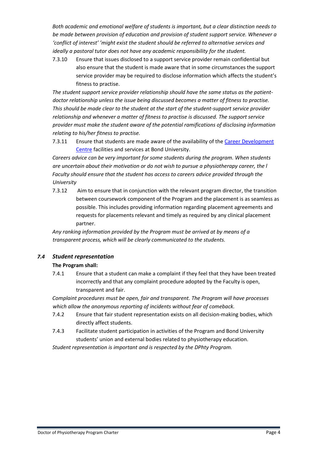*Both academic and emotional welfare of students is important, but a clear distinction needs to be made between provision of education and provision of student support service. Whenever a 'conflict of interest' 'might exist the student should be referred to alternative services and ideally a pastoral tutor does not have any academic responsibility for the student.*

7.3.10 Ensure that issues disclosed to a support service provider remain confidential but also ensure that the student is made aware that in some circumstances the support service provider may be required to disclose information which affects the student's fitness to practise.

*The student support service provider relationship should have the same status as the patientdoctor relationship unless the issue being discussed becomes a matter of fitness to practise. This should be made clear to the student at the start of the student-support service provider relationship and whenever a matter of fitness to practise is discussed. The support service provider must make the student aware of the potential ramifications of disclosing information relating to his/her fitness to practise.* 

7.3.11 Ensure that students are made aware of the availability of the Career Development [Centre](https://bond.edu.au/current-students/opportunities/career-development-centre) facilities and services at Bond University.

*Careers advice can be very important for some students during the program. When students are uncertain about their motivation or do not wish to pursue a physiotherapy career, the l Faculty should ensure that the student has access to careers advice provided through the University* 

7.3.12 Aim to ensure that in conjunction with the relevant program director, the transition between coursework component of the Program and the placement is as seamless as possible. This includes providing information regarding placement agreements and requests for placements relevant and timely as required by any clinical placement partner.

*Any ranking information provided by the Program must be arrived at by means of a transparent process, which will be clearly communicated to the students.* 

#### <span id="page-18-0"></span>*7.4 Student representation*

#### **The Program shall:**

7.4.1 Ensure that a student can make a complaint if they feel that they have been treated incorrectly and that any complaint procedure adopted by the Faculty is open, transparent and fair.

*Complaint procedures must be open, fair and transparent. The Program will have processes which allow the anonymous reporting of incidents without fear of comeback.* 

- 7.4.2 Ensure that fair student representation exists on all decision-making bodies, which directly affect students.
- 7.4.3 Facilitate student participation in activities of the Program and Bond University students' union and external bodies related to physiotherapy education.

*Student representation is important and is respected by the DPhty Program.*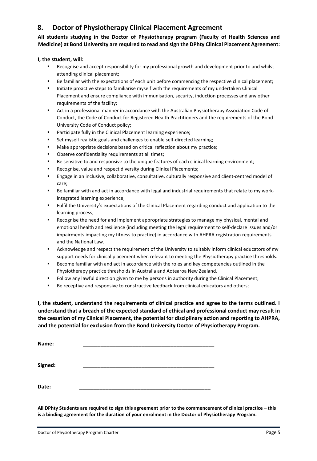# <span id="page-19-0"></span>**8. Doctor of Physiotherapy Clinical Placement Agreement**

**All students studying in the Doctor of Physiotherapy program (Faculty of Health Sciences and Medicine) at Bond University are required to read and sign the DPhty Clinical Placement Agreement:** 

#### **I, the student, will:**

- Recognise and accept responsibility for my professional growth and development prior to and whilst attending clinical placement;
- Be familiar with the expectations of each unit before commencing the respective clinical placement;
- **Initiate proactive steps to familiarise myself with the requirements of my undertaken Clinical** Placement and ensure compliance with immunisation, security, induction processes and any other requirements of the facility;
- Act in a professional manner in accordance with the Australian Physiotherapy Association Code of Conduct, the Code of Conduct for Registered Health Practitioners and the requirements of the Bond University Code of Conduct policy;
- Participate fully in the Clinical Placement learning experience;
- Set myself realistic goals and challenges to enable self-directed learning;
- Make appropriate decisions based on critical reflection about my practice;
- Observe confidentiality requirements at all times;
- **Be sensitive to and responsive to the unique features of each clinical learning environment;**
- Recognise, value and respect diversity during Clinical Placements;
- Engage in an inclusive, collaborative, consultative, culturally responsive and client-centred model of care;
- Be familiar with and act in accordance with legal and industrial requirements that relate to my workintegrated learning experience;
- Fulfil the University's expectations of the Clinical Placement regarding conduct and application to the learning process;
- Recognise the need for and implement appropriate strategies to manage my physical, mental and emotional health and resilience (including meeting the legal requirement to self-declare issues and/or impairments impacting my fitness to practice) in accordance with AHPRA registration requirements and the National Law.
- Acknowledge and respect the requirement of the University to suitably inform clinical educators of my support needs for clinical placement when relevant to meeting the Physiotherapy practice thresholds.
- Become familiar with and act in accordance with the roles and key competencies outlined in the Physiotherapy practice thresholds in Australia and Aotearoa New Zealand.
- **Follow any lawful direction given to me by persons in authority during the Clinical Placement;**
- Be receptive and responsive to constructive feedback from clinical educators and others;

**I, the student, understand the requirements of clinical practice and agree to the terms outlined. I understand that a breach of the expected standard of ethical and professional conduct may result in the cessation of my Clinical Placement, the potential for disciplinary action and reporting to AHPRA, and the potential for exclusion from the Bond University Doctor of Physiotherapy Program.** 

| Name:   |  |  |  |
|---------|--|--|--|
| Signed: |  |  |  |
| Date:   |  |  |  |

**All DPhty Students are required to sign this agreement prior to the commencement of clinical practice – this is a binding agreement for the duration of your enrolment in the Doctor of Physiotherapy Program.**